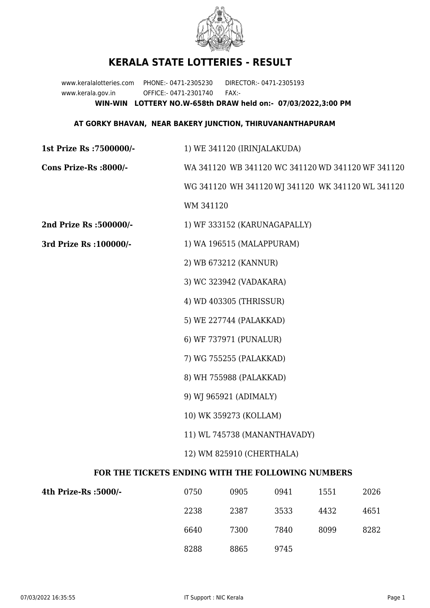

## **KERALA STATE LOTTERIES - RESULT**

www.keralalotteries.com PHONE:- 0471-2305230 DIRECTOR:- 0471-2305193 www.kerala.gov.in OFFICE:- 0471-2301740 FAX:- **WIN-WIN LOTTERY NO.W-658th DRAW held on:- 07/03/2022,3:00 PM**

## **AT GORKY BHAVAN, NEAR BAKERY JUNCTION, THIRUVANANTHAPURAM**

| 1st Prize Rs : 7500000/-                          | 1) WE 341120 (IRINJALAKUDA)                       |                              |      |      |      |  |  |
|---------------------------------------------------|---------------------------------------------------|------------------------------|------|------|------|--|--|
| Cons Prize-Rs :8000/-                             | WA 341120 WB 341120 WC 341120 WD 341120 WF 341120 |                              |      |      |      |  |  |
|                                                   | WG 341120 WH 341120 WJ 341120 WK 341120 WL 341120 |                              |      |      |      |  |  |
|                                                   | WM 341120                                         |                              |      |      |      |  |  |
| 2nd Prize Rs :500000/-                            |                                                   | 1) WF 333152 (KARUNAGAPALLY) |      |      |      |  |  |
| 3rd Prize Rs : 100000/-                           | 1) WA 196515 (MALAPPURAM)                         |                              |      |      |      |  |  |
|                                                   | 2) WB 673212 (KANNUR)                             |                              |      |      |      |  |  |
|                                                   | 3) WC 323942 (VADAKARA)                           |                              |      |      |      |  |  |
|                                                   | 4) WD 403305 (THRISSUR)                           |                              |      |      |      |  |  |
|                                                   | 5) WE 227744 (PALAKKAD)                           |                              |      |      |      |  |  |
|                                                   | 6) WF 737971 (PUNALUR)                            |                              |      |      |      |  |  |
|                                                   | 7) WG 755255 (PALAKKAD)                           |                              |      |      |      |  |  |
|                                                   | 8) WH 755988 (PALAKKAD)                           |                              |      |      |      |  |  |
|                                                   | 9) WJ 965921 (ADIMALY)                            |                              |      |      |      |  |  |
|                                                   | 10) WK 359273 (KOLLAM)                            |                              |      |      |      |  |  |
|                                                   | 11) WL 745738 (MANANTHAVADY)                      |                              |      |      |      |  |  |
|                                                   | 12) WM 825910 (CHERTHALA)                         |                              |      |      |      |  |  |
| FOR THE TICKETS ENDING WITH THE FOLLOWING NUMBERS |                                                   |                              |      |      |      |  |  |
| 4th Prize-Rs :5000/-                              | 0750                                              | 0905                         | 0941 | 1551 | 2026 |  |  |
|                                                   | 2238                                              | 2387                         | 3533 | 4432 | 4651 |  |  |

8288 8865 9745

6640 7300 7840 8099 8282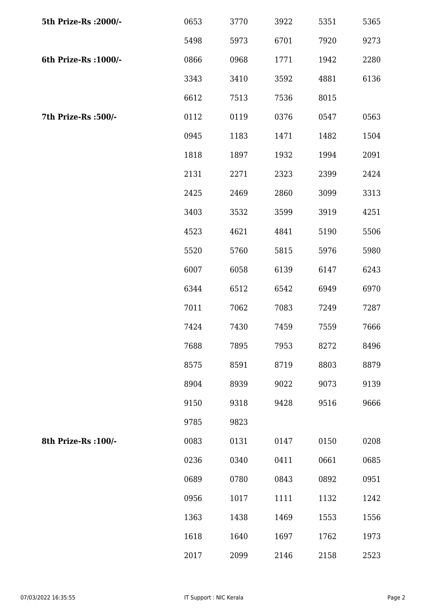| 5th Prize-Rs : 2000/- | 0653 | 3770 | 3922 | 5351 | 5365 |
|-----------------------|------|------|------|------|------|
|                       | 5498 | 5973 | 6701 | 7920 | 9273 |
| 6th Prize-Rs : 1000/- | 0866 | 0968 | 1771 | 1942 | 2280 |
|                       | 3343 | 3410 | 3592 | 4881 | 6136 |
|                       | 6612 | 7513 | 7536 | 8015 |      |
| 7th Prize-Rs :500/-   | 0112 | 0119 | 0376 | 0547 | 0563 |
|                       | 0945 | 1183 | 1471 | 1482 | 1504 |
|                       | 1818 | 1897 | 1932 | 1994 | 2091 |
|                       | 2131 | 2271 | 2323 | 2399 | 2424 |
|                       | 2425 | 2469 | 2860 | 3099 | 3313 |
|                       | 3403 | 3532 | 3599 | 3919 | 4251 |
|                       | 4523 | 4621 | 4841 | 5190 | 5506 |
|                       | 5520 | 5760 | 5815 | 5976 | 5980 |
|                       | 6007 | 6058 | 6139 | 6147 | 6243 |
|                       | 6344 | 6512 | 6542 | 6949 | 6970 |
|                       | 7011 | 7062 | 7083 | 7249 | 7287 |
|                       | 7424 | 7430 | 7459 | 7559 | 7666 |
|                       | 7688 | 7895 | 7953 | 8272 | 8496 |
|                       | 8575 | 8591 | 8719 | 8803 | 8879 |
|                       | 8904 | 8939 | 9022 | 9073 | 9139 |
|                       | 9150 | 9318 | 9428 | 9516 | 9666 |
|                       | 9785 | 9823 |      |      |      |
| 8th Prize-Rs : 100/-  | 0083 | 0131 | 0147 | 0150 | 0208 |
|                       | 0236 | 0340 | 0411 | 0661 | 0685 |
|                       | 0689 | 0780 | 0843 | 0892 | 0951 |
|                       | 0956 | 1017 | 1111 | 1132 | 1242 |
|                       | 1363 | 1438 | 1469 | 1553 | 1556 |
|                       | 1618 | 1640 | 1697 | 1762 | 1973 |
|                       | 2017 | 2099 | 2146 | 2158 | 2523 |